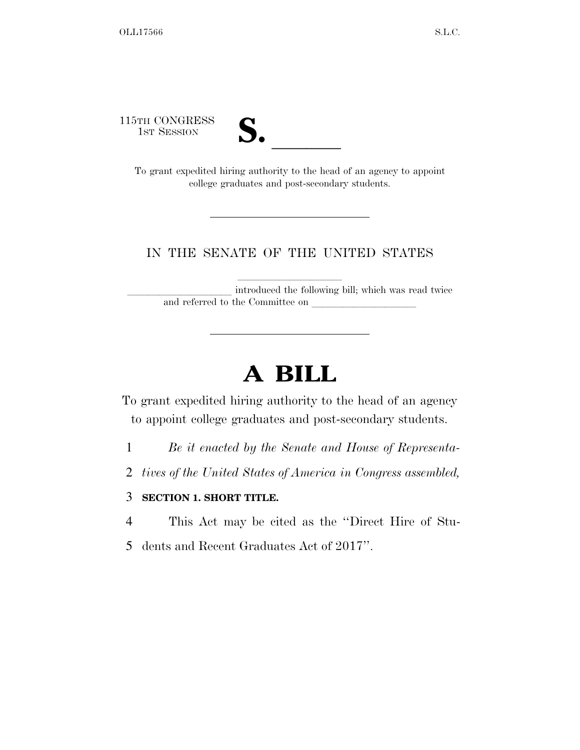115TH CONGRESS



TH CONGRESS<br>
1st Session<br>
To grant expedited hiring authority to the head of an agency to appoint college graduates and post-secondary students.

#### IN THE SENATE OF THE UNITED STATES

introduced the following bill; which was read twice and referred to the Committee on

# **A BILL**

To grant expedited hiring authority to the head of an agency to appoint college graduates and post-secondary students.

- 1 *Be it enacted by the Senate and House of Representa-*
- 2 *tives of the United States of America in Congress assembled,*

#### 3 **SECTION 1. SHORT TITLE.**

- 4 This Act may be cited as the ''Direct Hire of Stu-
- 5 dents and Recent Graduates Act of 2017''.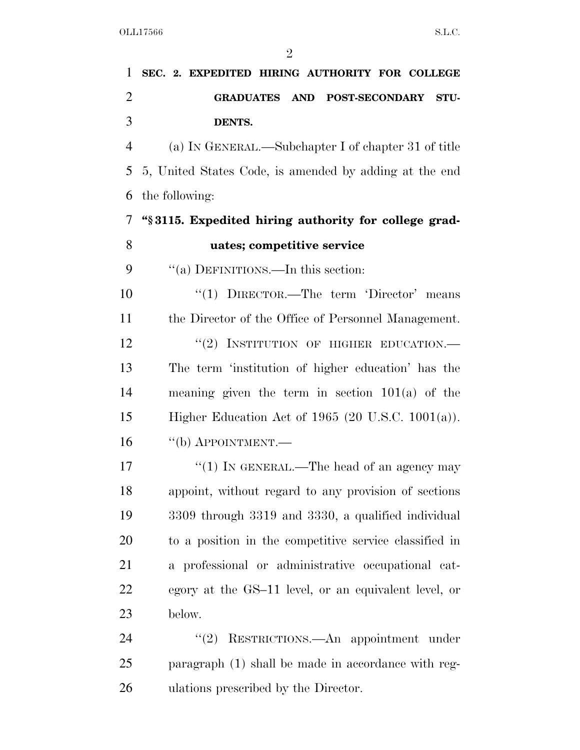## **SEC. 2. EXPEDITED HIRING AUTHORITY FOR COLLEGE GRADUATES AND POST-SECONDARY STU-DENTS.**

 (a) IN GENERAL.—Subchapter I of chapter 31 of title 5, United States Code, is amended by adding at the end the following:

### **''§ 3115. Expedited hiring authority for college grad-uates; competitive service**

9 "(a) DEFINITIONS.—In this section:

10 "(1) DIRECTOR.—The term 'Director' means the Director of the Office of Personnel Management. 12 "(2) INSTITUTION OF HIGHER EDUCATION.— The term 'institution of higher education' has the meaning given the term in section 101(a) of the Higher Education Act of 1965 (20 U.S.C. 1001(a)). ''(b) APPOINTMENT.—

17 ''(1) In GENERAL.—The head of an agency may appoint, without regard to any provision of sections 3309 through 3319 and 3330, a qualified individual to a position in the competitive service classified in a professional or administrative occupational cat- egory at the GS–11 level, or an equivalent level, or below.

24 "(2) RESTRICTIONS.—An appointment under paragraph (1) shall be made in accordance with reg-ulations prescribed by the Director.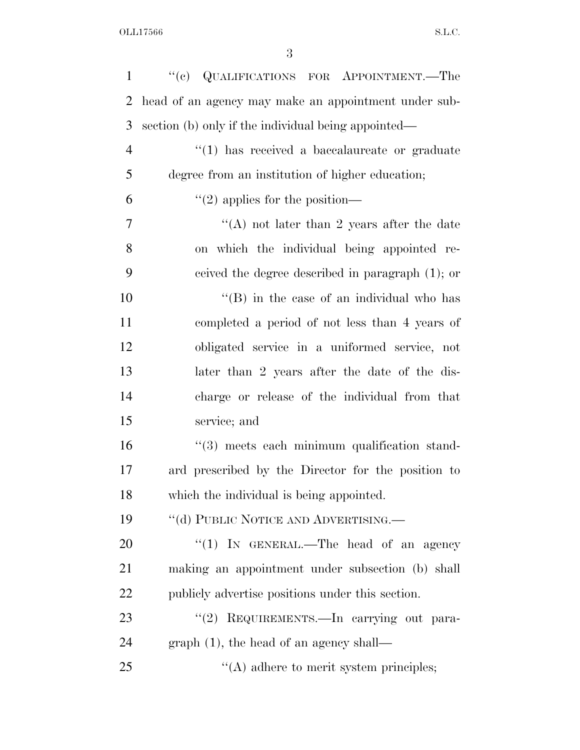| $\mathbf{1}$   | "(c) QUALIFICATIONS FOR APPOINTMENT.—The             |
|----------------|------------------------------------------------------|
| 2              | head of an agency may make an appointment under sub- |
| 3              | section (b) only if the individual being appointed—  |
| $\overline{4}$ | $"(1)$ has received a baccalaureate or graduate      |
| 5              | degree from an institution of higher education;      |
| 6              | $\lq(2)$ applies for the position—                   |
| 7              | "(A) not later than 2 years after the date           |
| 8              | on which the individual being appointed re-          |
| 9              | ceived the degree described in paragraph (1); or     |
| 10             | $\lq\lq$ (B) in the case of an individual who has    |
| 11             | completed a period of not less than 4 years of       |
| 12             | obligated service in a uniformed service, not        |
| 13             | later than 2 years after the date of the dis-        |
| 14             | charge or release of the individual from that        |
| 15             | service; and                                         |
| 16             | "(3) meets each minimum qualification stand-         |
| 17             | ard prescribed by the Director for the position to   |
| 18             | which the individual is being appointed.             |
| 19             | "(d) PUBLIC NOTICE AND ADVERTISING.—                 |
| <b>20</b>      | "(1) IN GENERAL.—The head of an agency               |
| 21             | making an appointment under subsection (b) shall     |
| 22             | publicly advertise positions under this section.     |
| 23             | "(2) REQUIREMENTS.—In carrying out para-             |
| 24             | $graph(1)$ , the head of an agency shall—            |
| 25             | $\lq\lq$ adhere to merit system principles;          |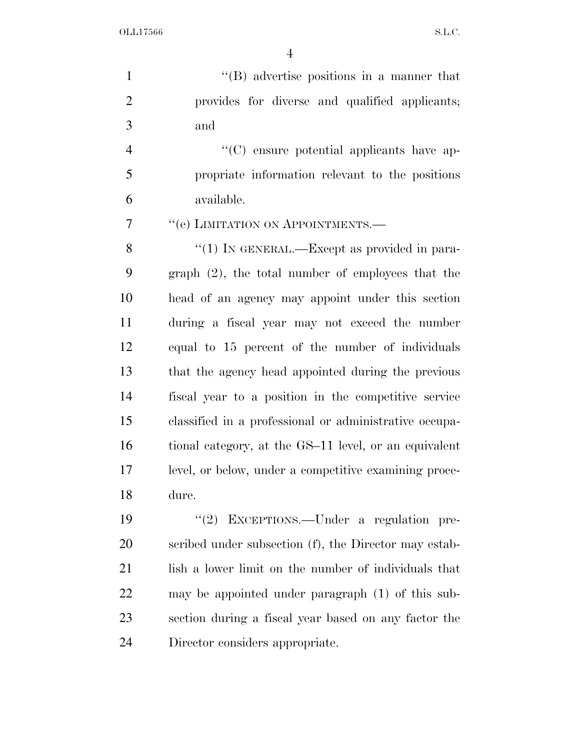OLL17566 S.L.C.

 ''(B) advertise positions in a manner that provides for diverse and qualified applicants; and

 ''(C) ensure potential applicants have ap- propriate information relevant to the positions available.

7 <sup>"</sup>(e) LIMITATION ON APPOINTMENTS.—

8 "(1) IN GENERAL.—Except as provided in para- graph (2), the total number of employees that the head of an agency may appoint under this section during a fiscal year may not exceed the number equal to 15 percent of the number of individuals that the agency head appointed during the previous fiscal year to a position in the competitive service classified in a professional or administrative occupa- tional category, at the GS–11 level, or an equivalent level, or below, under a competitive examining proce-dure.

 ''(2) EXCEPTIONS.—Under a regulation pre- scribed under subsection (f), the Director may estab-21 lish a lower limit on the number of individuals that may be appointed under paragraph (1) of this sub- section during a fiscal year based on any factor the Director considers appropriate.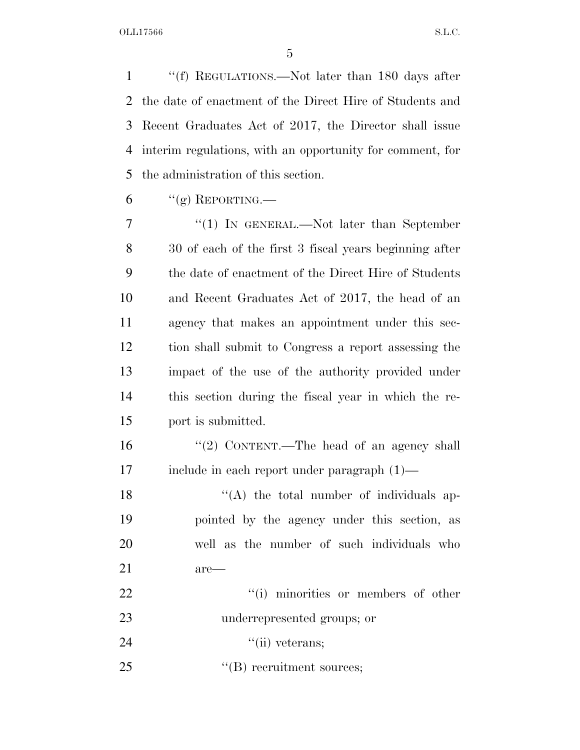''(f) REGULATIONS.—Not later than 180 days after the date of enactment of the Direct Hire of Students and Recent Graduates Act of 2017, the Director shall issue interim regulations, with an opportunity for comment, for the administration of this section.

6 "(g) REPORTING.—

7 "(1) IN GENERAL.—Not later than September 30 of each of the first 3 fiscal years beginning after the date of enactment of the Direct Hire of Students and Recent Graduates Act of 2017, the head of an agency that makes an appointment under this sec- tion shall submit to Congress a report assessing the impact of the use of the authority provided under this section during the fiscal year in which the re-port is submitted.

16 "(2) CONTENT.—The head of an agency shall include in each report under paragraph (1)—

18 ''(A) the total number of individuals ap- pointed by the agency under this section, as well as the number of such individuals who are— 22  $\frac{1}{1}$  minorities or members of other

underrepresented groups; or

24 ''(ii) veterans;

25  $\text{``(B) recruitment sources;}$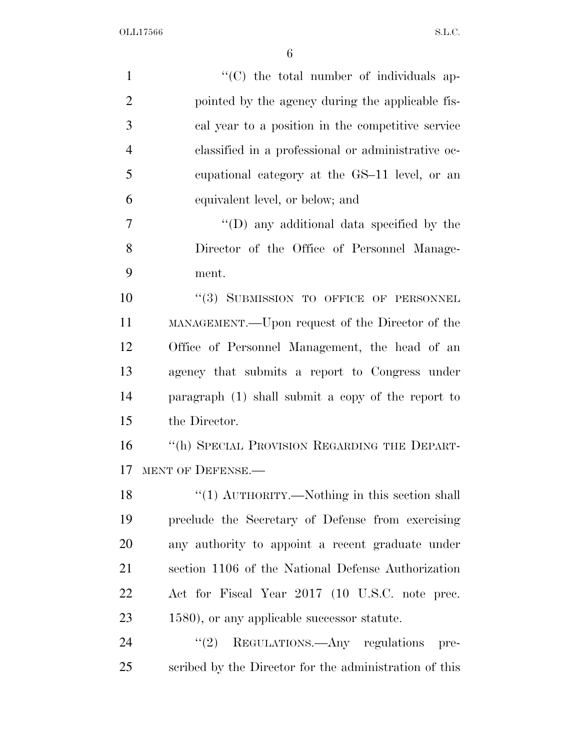| $\mathbf{1}$   | "(C) the total number of individuals ap-               |
|----------------|--------------------------------------------------------|
| $\overline{2}$ | pointed by the agency during the applicable fis-       |
| 3              | cal year to a position in the competitive service      |
| $\overline{4}$ | classified in a professional or administrative oc-     |
| 5              | equational category at the GS-11 level, or an          |
| 6              | equivalent level, or below; and                        |
| 7              | "(D) any additional data specified by the              |
| 8              | Director of the Office of Personnel Manage-            |
| 9              | ment.                                                  |
| 10             | "(3) SUBMISSION TO OFFICE OF PERSONNEL                 |
| 11             | MANAGEMENT.—Upon request of the Director of the        |
| 12             | Office of Personnel Management, the head of an         |
| 13             | agency that submits a report to Congress under         |
| 14             | paragraph (1) shall submit a copy of the report to     |
| 15             | the Director.                                          |
| 16             | "(h) SPECIAL PROVISION REGARDING THE DEPART-           |
| 17             | MENT OF DEFENSE.                                       |
| 18             | "(1) AUTHORITY.—Nothing in this section shall          |
| 19             | preclude the Secretary of Defense from exercising      |
| 20             | any authority to appoint a recent graduate under       |
| 21             | section 1106 of the National Defense Authorization     |
| 22             | Act for Fiscal Year 2017 (10 U.S.C. note prec.         |
| 23             | 1580), or any applicable successor statute.            |
| 24             | $\cdot\cdot(2)$ REGULATIONS.—Any regulations<br>pre-   |
| 25             | scribed by the Director for the administration of this |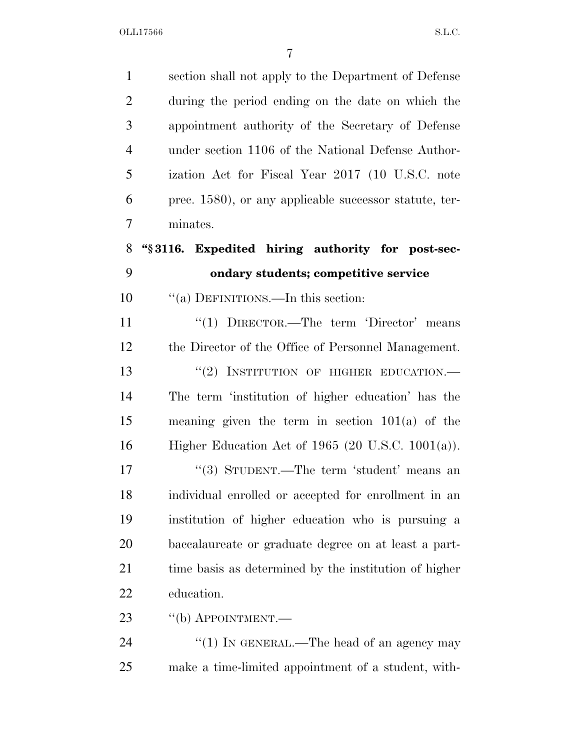| $\mathbf{1}$   | section shall not apply to the Department of Defense   |
|----------------|--------------------------------------------------------|
| $\overline{2}$ | during the period ending on the date on which the      |
| 3              | appointment authority of the Secretary of Defense      |
| $\overline{4}$ | under section 1106 of the National Defense Author-     |
| 5              | ization Act for Fiscal Year 2017 (10 U.S.C. note       |
| 6              | prec. 1580), or any applicable successor statute, ter- |
| 7              | minates.                                               |
| 8              | "\\$3116. Expedited hiring authority for post-sec-     |
| 9              | ondary students; competitive service                   |
| 10             | "(a) DEFINITIONS.—In this section:                     |
| 11             | "(1) $DIRECTOR.$ —The term 'Director' means            |
| 12             | the Director of the Office of Personnel Management.    |
| 13             | "(2) INSTITUTION OF HIGHER EDUCATION.-                 |
| 14             | The term 'institution of higher education' has the     |
| 15             | meaning given the term in section $101(a)$ of the      |
| 16             | Higher Education Act of $1965$ (20 U.S.C. $1001(a)$ ). |
| 17             | "(3) STUDENT.—The term 'student' means an              |
| 18             | individual enrolled or accepted for enrollment in an   |
| 19             | institution of higher education who is pursuing a      |
| 20             | baccalaureate or graduate degree on at least a part-   |
| 21             | time basis as determined by the institution of higher  |
| 22             | education.                                             |
| 23             | $``$ (b) APPOINTMENT.—                                 |
| 24             | "(1) IN GENERAL.—The head of an agency may             |
| 25             | make a time-limited appointment of a student, with-    |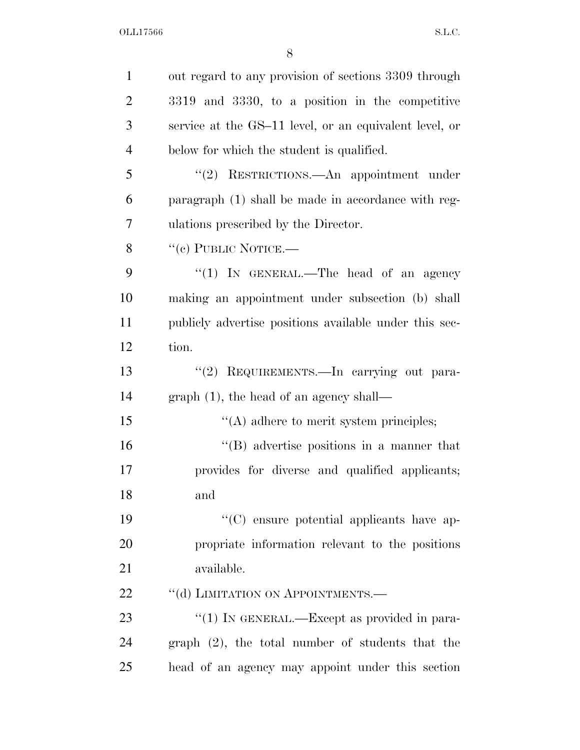| $\mathbf{1}$   | out regard to any provision of sections 3309 through   |
|----------------|--------------------------------------------------------|
| $\overline{2}$ | 3319 and 3330, to a position in the competitive        |
| 3              | service at the GS-11 level, or an equivalent level, or |
| $\overline{4}$ | below for which the student is qualified.              |
| 5              | "(2) RESTRICTIONS.—An appointment under                |
| 6              | paragraph (1) shall be made in accordance with reg-    |
| 7              | ulations prescribed by the Director.                   |
| 8              | "(c) PUBLIC NOTICE.—                                   |
| 9              | " $(1)$ IN GENERAL.—The head of an agency              |
| 10             | making an appointment under subsection (b) shall       |
| 11             | publicly advertise positions available under this sec- |
| 12             | tion.                                                  |
| 13             | "(2) REQUIREMENTS. In carrying out para-               |
| 14             | $graph(1)$ , the head of an agency shall—              |
| 15             | $\lq\lq$ adhere to merit system principles;            |
| 16             | "(B) advertise positions in a manner that              |
| 17             | provides for diverse and qualified applicants;         |
| 18             | and                                                    |
| 19             | "(C) ensure potential applicants have ap-              |
| 20             | propriate information relevant to the positions        |
| 21             | available.                                             |
| 22             | "(d) LIMITATION ON APPOINTMENTS.—                      |
| 23             | "(1) IN GENERAL.—Except as provided in para-           |
| 24             | $graph (2)$ , the total number of students that the    |
| 25             | head of an agency may appoint under this section       |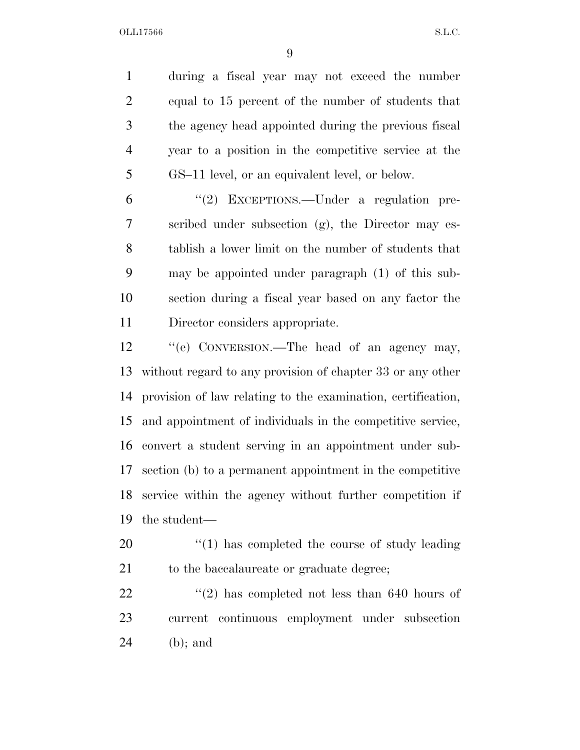during a fiscal year may not exceed the number equal to 15 percent of the number of students that the agency head appointed during the previous fiscal year to a position in the competitive service at the GS–11 level, or an equivalent level, or below.

 ''(2) EXCEPTIONS.—Under a regulation pre- scribed under subsection (g), the Director may es- tablish a lower limit on the number of students that may be appointed under paragraph (1) of this sub- section during a fiscal year based on any factor the Director considers appropriate.

 ''(e) CONVERSION.—The head of an agency may, without regard to any provision of chapter 33 or any other provision of law relating to the examination, certification, and appointment of individuals in the competitive service, convert a student serving in an appointment under sub- section (b) to a permanent appointment in the competitive service within the agency without further competition if the student—

20  $\frac{1}{20}$  (1) has completed the course of study leading 21 to the baccalaureate or graduate degree;

22  $\frac{1}{2}$  (2) has completed not less than 640 hours of current continuous employment under subsection (b); and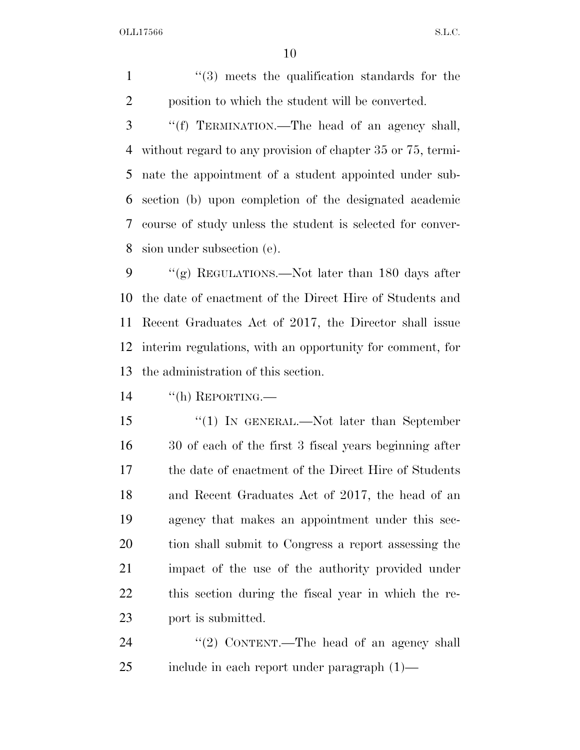OLL17566 S.L.C.

1 ''(3) meets the qualification standards for the position to which the student will be converted.

 ''(f) TERMINATION.—The head of an agency shall, without regard to any provision of chapter 35 or 75, termi- nate the appointment of a student appointed under sub- section (b) upon completion of the designated academic course of study unless the student is selected for conver-sion under subsection (e).

 $\frac{1}{2}$  (g) REGULATIONS.—Not later than 180 days after the date of enactment of the Direct Hire of Students and Recent Graduates Act of 2017, the Director shall issue interim regulations, with an opportunity for comment, for the administration of this section.

14 "(h) REPORTING.—

 ''(1) IN GENERAL.—Not later than September 30 of each of the first 3 fiscal years beginning after the date of enactment of the Direct Hire of Students and Recent Graduates Act of 2017, the head of an agency that makes an appointment under this sec- tion shall submit to Congress a report assessing the impact of the use of the authority provided under this section during the fiscal year in which the re-port is submitted.

24 "(2) CONTENT.—The head of an agency shall include in each report under paragraph (1)—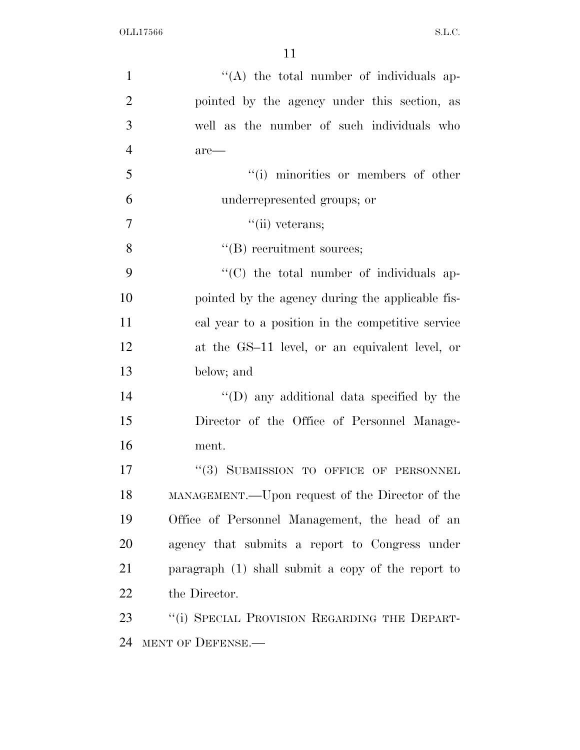| $\mathbf{1}$   | $\lq\lq$ the total number of individuals ap-       |
|----------------|----------------------------------------------------|
| $\overline{2}$ | pointed by the agency under this section, as       |
| 3              | well as the number of such individuals who         |
| $\overline{4}$ | $are-$                                             |
| 5              | "(i) minorities or members of other                |
| 6              | underrepresented groups; or                        |
| $\overline{7}$ | $``$ (ii) veterans;                                |
| 8              | $\lq\lq$ recruitment sources;                      |
| 9              | "(C) the total number of individuals ap-           |
| 10             | pointed by the agency during the applicable fis-   |
| 11             | cal year to a position in the competitive service  |
| 12             | at the GS-11 level, or an equivalent level, or     |
| 13             | below; and                                         |
| 14             | $\lq\lq$ (D) any additional data specified by the  |
| 15             | Director of the Office of Personnel Manage-        |
| 16             | ment.                                              |
| 17             | "(3) SUBMISSION TO OFFICE OF PERSONNEL             |
| 18             | MANAGEMENT.—Upon request of the Director of the    |
| 19             | Office of Personnel Management, the head of an     |
| 20             | agency that submits a report to Congress under     |
| 21             | paragraph (1) shall submit a copy of the report to |
| 22             | the Director.                                      |
| 23             | "(i) SPECIAL PROVISION REGARDING THE DEPART-       |
| 24             | MENT OF DEFENSE.                                   |